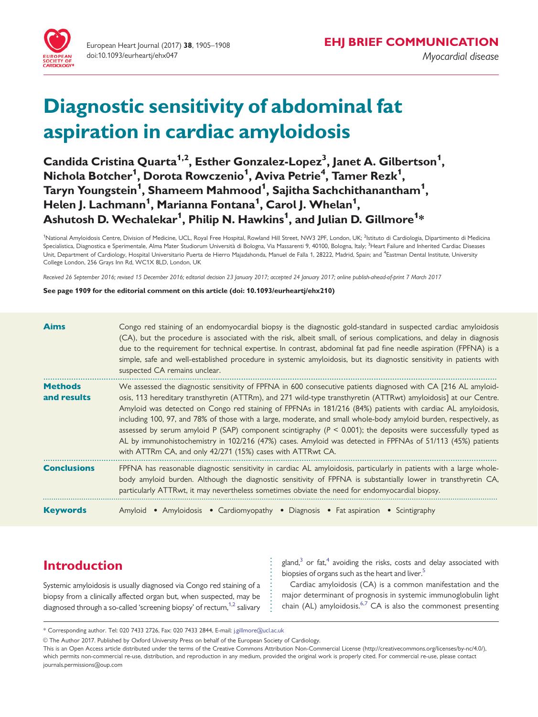

# Diagnostic sensitivity of abdominal fat aspiration in cardiac amyloidosis

Candida Cristina Quarta<sup>1,2</sup>, Esther Gonzalez-Lopez<sup>3</sup>, Janet A. Gilbertson<sup>1</sup>, Nichola Botcher<sup>1</sup>, Dorota Rowczenio<sup>1</sup>, Aviva Petrie<sup>4</sup>, Tamer Rezk<sup>1</sup>, Taryn Youngstein<sup>1</sup>, Shameem Mahmood<sup>1</sup>, Sajitha Sachchithanantham<sup>1</sup>, Helen J. Lachmann<sup>1</sup>, Marianna Fontana<sup>1</sup>, Carol J. Whelan<sup>1</sup>,  ${\mathsf A}$ shutosh D. Wechalekar $^1$ , Philip N. Hawkins $^1$ , and Julian D. Gillmore $^{1*}$ 

<sup>1</sup>National Amyloidosis Centre, Division of Medicine, UCL, Royal Free Hospital, Rowland Hill Street, NW3 2PF, London, UK; <sup>2</sup>Istituto di Cardiologia, Dipartimento di Medicina Specialistica, Diagnostica e Sperimentale, Alma Mater Studiorum Università di Bologna, Via Massarenti 9, 40100, Bologna, Italy; <sup>3</sup>Heart Failure and Inherited Cardiac Diseases Unit, Department of Cardiology, Hospital Universitario Puerta de Hierro Majadahonda, Manuel de Falla 1, 28222, Madrid, Spain; and <sup>4</sup>Eastman Dental Institute, University College London, 256 Grays Inn Rd, WC1X 8LD, London, UK

Received 26 September 2016; revised 15 December 2016; editorial decision 23 January 2017; accepted 24 January 2017; online publish-ahead-of-print 7 March 2017

See page 1909 for the editorial comment on this article (doi: 10.1093/eurheartj/ehx210)

| <b>Aims</b>                   | Congo red staining of an endomyocardial biopsy is the diagnostic gold-standard in suspected cardiac amyloidosis<br>(CA), but the procedure is associated with the risk, albeit small, of serious complications, and delay in diagnosis<br>due to the requirement for technical expertise. In contrast, abdominal fat pad fine needle aspiration (FPFNA) is a<br>simple, safe and well-established procedure in systemic amyloidosis, but its diagnostic sensitivity in patients with<br>suspected CA remains unclear.                                                                                                                                                                                                                                                   |  |
|-------------------------------|-------------------------------------------------------------------------------------------------------------------------------------------------------------------------------------------------------------------------------------------------------------------------------------------------------------------------------------------------------------------------------------------------------------------------------------------------------------------------------------------------------------------------------------------------------------------------------------------------------------------------------------------------------------------------------------------------------------------------------------------------------------------------|--|
| <b>Methods</b><br>and results | We assessed the diagnostic sensitivity of FPFNA in 600 consecutive patients diagnosed with CA [216 AL amyloid-<br>osis, 113 hereditary transthyretin (ATTRm), and 271 wild-type transthyretin (ATTRwt) amyloidosis] at our Centre.<br>Amyloid was detected on Congo red staining of FPFNAs in 181/216 (84%) patients with cardiac AL amyloidosis,<br>including 100, 97, and 78% of those with a large, moderate, and small whole-body amyloid burden, respectively, as<br>assessed by serum amyloid P (SAP) component scintigraphy ( $P < 0.001$ ); the deposits were successfully typed as<br>AL by immunohistochemistry in 102/216 (47%) cases. Amyloid was detected in FPFNAs of 51/113 (45%) patients<br>with ATTRm CA, and only 42/271 (15%) cases with ATTRwt CA. |  |
| <b>Conclusions</b>            | FPFNA has reasonable diagnostic sensitivity in cardiac AL amyloidosis, particularly in patients with a large whole-<br>body amyloid burden. Although the diagnostic sensitivity of FPFNA is substantially lower in transthyretin CA,<br>particularly ATTRwt, it may nevertheless sometimes obviate the need for endomyocardial biopsy.                                                                                                                                                                                                                                                                                                                                                                                                                                  |  |
| <b>Keywords</b>               | • Amyloidosis • Cardiomyopathy • Diagnosis • Fat aspiration • Scintigraphy<br>Amyloid                                                                                                                                                                                                                                                                                                                                                                                                                                                                                                                                                                                                                                                                                   |  |

# Introduction

. . . . . . . . . . . Systemic amyloidosis is usually diagnosed via Congo red staining of a biopsy from a clinically affected organ but, when suspected, may be diagnosed through a so-called 'screening biopsy' of rectum,  $1.2$  salivary

gland, $3$  or fat, $4$  avoiding the risks, costs and delay associated with biopsies of organs such as the heart and liver.<sup>[5](#page-3-0)</sup>

Cardiac amyloidosis (CA) is a common manifestation and the major determinant of prognosis in systemic immunoglobulin light chain (AL) amyloidosis. $6.7$  $6.7$  $6.7$  CA is also the commonest presenting

. . . . .

<sup>\*</sup> Corresponding author. Tel: 020 7433 2726, Fax: 020 7433 2844, E-mail: [j.gillmore@ucl.ac.uk](mailto:)

<sup>©</sup> The Author 2017. Published by Oxford University Press on behalf of the European Society of Cardiology.

This is an Open Access article distributed under the terms of the Creative Commons Attribution Non-Commercial License (http://creativecommons.org/licenses/by-nc/4.0/), which permits non-commercial re-use, distribution, and reproduction in any medium, provided the original work is properly cited. For commercial re-use, please contact journals.permissions@oup.com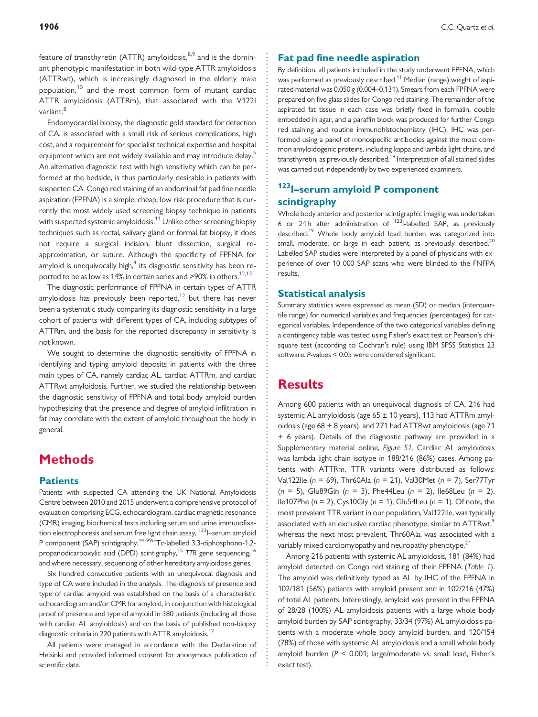feature of transthyretin (ATTR) amyloidosis,<sup>[8](#page-3-0),[9](#page-3-0)</sup> and is the dominant phenotypic manifestation in both wild-type ATTR amyloidosis (ATTRwt), which is increasingly diagnosed in the elderly male population,[10](#page-3-0) and the most common form of mutant cardiac ATTR amyloidosis (ATTRm), that associated with the V122I variant.<sup>[8](#page-3-0)</sup>

Endomyocardial biopsy, the diagnostic gold standard for detection of CA, is associated with a small risk of serious complications, high cost, and a requirement for specialist technical expertise and hospital equipment which are not widely available and may introduce delay.<sup>5</sup> An alternative diagnostic test with high sensitivity which can be performed at the bedside, is thus particularly desirable in patients with suspected CA. Congo red staining of an abdominal fat pad fine needle aspiration (FPFNA) is a simple, cheap, low risk procedure that is currently the most widely used screening biopsy technique in patients with suspected systemic amyloidosis.<sup>11</sup> Unlike other screening biopsy techniques such as rectal, salivary gland or formal fat biopsy, it does not require a surgical incision, blunt dissection, surgical reapproximation, or suture. Although the specificity of FPFNA for amyloid is unequivocally high, $4$  its diagnostic sensitivity has been re-ported to be as low as 14% in certain series and >90% in others.<sup>[12,13](#page-3-0)</sup>

The diagnostic performance of FPFNA in certain types of ATTR amyloidosis has previously been reported, $12$  but there has never been a systematic study comparing its diagnostic sensitivity in a large cohort of patients with different types of CA, including subtypes of ATTRm, and the basis for the reported discrepancy in sensitivity is not known.

We sought to determine the diagnostic sensitivity of FPFNA in identifying and typing amyloid deposits in patients with the three main types of CA, namely cardiac AL, cardiac ATTRm, and cardiac ATTRwt amyloidosis. Further, we studied the relationship between the diagnostic sensitivity of FPFNA and total body amyloid burden hypothesizing that the presence and degree of amyloid infiltration in fat may correlate with the extent of amyloid throughout the body in general.

# **Methods**

#### **Patients**

Patients with suspected CA attending the UK National Amyloidosis Centre between 2010 and 2015 underwent a comprehensive protocol of evaluation comprising ECG, echocardiogram, cardiac magnetic resonance (CMR) imaging, biochemical tests including serum and urine immunofixation electrophoresis and serum free light chain assay,  $123$ -serum amyloid P component (SAP) scintigraphy,<sup>14 99m</sup>Tc-labelled 3,3-diphosphono-1,2propanodicarboxylic acid (DPD) scintigraphy, $^{15}$  TTR gene sequencing,  $^{16}$ and where necessary, sequencing of other hereditary amyloidosis genes.

Six hundred consecutive patients with an unequivocal diagnosis and type of CA were included in the analysis. The diagnosis of presence and type of cardiac amyloid was established on the basis of a characteristic echocardiogram and/or CMR for amyloid, in conjunction with histological proof of presence and type of amyloid in 380 patients (including all those with cardiac AL amyloidosis) and on the basis of published non-biopsy diagnostic criteria in 220 patients with ATTR amyloidosis.<sup>[17](#page-3-0)</sup>

All patients were managed in accordance with the Declaration of Helsinki and provided informed consent for anonymous publication of scientific data.

#### Fat pad fine needle aspiration

By definition, all patients included in the study underwent FPFNA, which was performed as previously described.<sup>11</sup> Median (range) weight of aspirated material was 0.050 g (0.004–0.131). Smears from each FPFNA were prepared on five glass slides for Congo red staining. The remainder of the aspirated fat tissue in each case was briefly fixed in formalin, double embedded in agar, and a paraffin block was produced for further Congo red staining and routine immunohistochemistry (IHC). IHC was performed using a panel of monospecific antibodies against the most common amyloidogenic proteins, including kappa and lambda light chains, and transthyretin, as previously described[.18](#page-3-0) Interpretation of all stained slides was carried out independently by two experienced examiners.

## 123I–serum amyloid P component scintigraphy

Whole body anterior and posterior scintigraphic imaging was undertaken 6 or 24h after administration of  $123$ -labelled SAP, as previously described[.19](#page-3-0) Whole body amyloid load burden was categorized into small, moderate, or large in each patient, as previously described.<sup>[20](#page-3-0)</sup> Labelled SAP studies were interpreted by a panel of physicians with experience of over 10 000 SAP scans who were blinded to the FNFPA results.

#### Statistical analysis

Summary statistics were expressed as mean (SD) or median (interquartile range) for numerical variables and frequencies (percentages) for categorical variables. Independence of the two categorical variables defining a contingency table was tested using Fisher's exact test or Pearson's chisquare test (according to Cochran's rule) using IBM SPSS Statistics 23 software. P-values < 0.05 were considered significant.

# **Results**

. . . . . . . . . . . . . . . . . . . . . . . . . . . . . . . . . . . . . . . . . . . . . . . . . . . . . . . . . . . . . . . . . . . . . . . . . . . . . . . . . . . . . . . . . . . . . . . . . . . . . . . . . . . . . . . . . . . . . . . . . . . . . . . . . . . . . . . . . . . . . . . . . . . . . . . . . . . . . . . . . . . . . . . . . . . .

Among 600 patients with an unequivocal diagnosis of CA, 216 had systemic AL amyloidosis (age  $65 \pm 10$  years), 113 had ATTRm amyloidosis (age  $68 \pm 8$  years), and 271 had ATTRwt amyloidosis (age 71 ± 6 years). Details of the diagnostic pathway are provided in a [Supplementary material online,](http://eurheartj.oxfordjournals.org/lookup/suppl/doi:10.1093/eurheartj/ehx047/-/DC1) Figure S1. Cardiac AL amyloidosis was lambda light chain isotype in 188/216 (86%) cases. Among patients with ATTRm, TTR variants were distributed as follows: Val122Ile (n = 69), Thr60Ala (n = 21), Val30Met (n = 7), Ser77Tyr  $(n = 5)$ , Glu89Gln  $(n = 3)$ , Phe44Leu  $(n = 2)$ , Ile68Leu  $(n = 2)$ , Ile107Phe ( $n = 2$ ), Cys10Gly ( $n = 1$ ), Glu54Leu ( $n = 1$ ). Of note, the most prevalent TTR variant in our population, Val122Ile, was typically associated with an exclusive cardiac phenotype, similar to ATTRwt,<sup>[9](#page-3-0)</sup> whereas the next most prevalent, Thr60Ala, was associated with a variably mixed cardiomyopathy and neuropathy phenotype.<sup>21</sup>

Among 216 patients with systemic AL amyloidosis, 181 (84%) had amyloid detected on Congo red staining of their FPFNA (Table [1](#page-2-0)). The amyloid was definitively typed as AL by IHC of the FPFNA in 102/181 (56%) patients with amyloid present and in 102/216 (47%) of total AL patients. Interestingly, amyloid was present in the FPFNA of 28/28 (100%) AL amyloidosis patients with a large whole body amyloid burden by SAP scintigraphy, 33/34 (97%) AL amyloidosis patients with a moderate whole body amyloid burden, and 120/154 (78%) of those with systemic AL amyloidosis and a small whole body amyloid burden ( $P < 0.001$ ; large/moderate vs. small load, Fisher's exact test).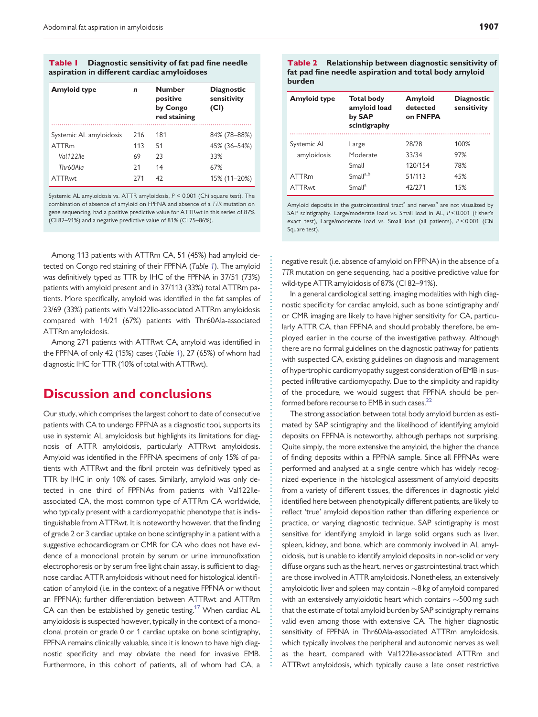#### <span id="page-2-0"></span>Table | Diagnostic sensitivity of fat pad fine needle aspiration in different cardiac amyloidoses

| <b>Amyloid type</b>     | n   | <b>Number</b><br>positive<br>by Congo<br>red staining | <b>Diagnostic</b><br>sensitivity<br>(CI) |
|-------------------------|-----|-------------------------------------------------------|------------------------------------------|
| Systemic AL amyloidosis | 216 | 181                                                   | 84% (78–88%)                             |
| ATTRm                   | 113 | 51                                                    | 45% (36-54%)                             |
| Val122lle               | 69  | 23                                                    | 33%                                      |
| Thr60Ala                | 21  | 14                                                    | 67%                                      |
| ATTRwt                  | 271 | 42                                                    | 15% (11-20%)                             |

Systemic AL amyloidosis vs. ATTR amyloidosis, P < 0.001 (Chi square test). The combination of absence of amyloid on FPFNA and absence of a TTR mutation on gene sequencing, had a positive predictive value for ATTRwt in this series of 87% (CI 82–91%) and a negative predictive value of 81% (CI 75–86%).

Among 113 patients with ATTRm CA, 51 (45%) had amyloid detected on Congo red staining of their FPFNA (Table 1). The amyloid was definitively typed as TTR by IHC of the FPFNA in 37/51 (73%) patients with amyloid present and in 37/113 (33%) total ATTRm patients. More specifically, amyloid was identified in the fat samples of 23/69 (33%) patients with Val122Ile-associated ATTRm amyloidosis compared with 14/21 (67%) patients with Thr60Ala-associated ATTRm amyloidosis.

Among 271 patients with ATTRwt CA, amyloid was identified in the FPFNA of only 42 (15%) cases (Table 1), 27 (65%) of whom had diagnostic IHC for TTR (10% of total with ATTRwt).

# Discussion and conclusions

Our study, which comprises the largest cohort to date of consecutive patients with CA to undergo FPFNA as a diagnostic tool, supports its use in systemic AL amyloidosis but highlights its limitations for diagnosis of ATTR amyloidosis, particularly ATTRwt amyloidosis. Amyloid was identified in the FPFNA specimens of only 15% of patients with ATTRwt and the fibril protein was definitively typed as TTR by IHC in only 10% of cases. Similarly, amyloid was only detected in one third of FPFNAs from patients with Val122Ileassociated CA, the most common type of ATTRm CA worldwide, who typically present with a cardiomyopathic phenotype that is indistinguishable from ATTRwt. It is noteworthy however, that the finding of grade 2 or 3 cardiac uptake on bone scintigraphy in a patient with a suggestive echocardiogram or CMR for CA who does not have evidence of a monoclonal protein by serum or urine immunofixation electrophoresis or by serum free light chain assay, is sufficient to diagnose cardiac ATTR amyloidosis without need for histological identification of amyloid (i.e. in the context of a negative FPFNA or without an FPFNA); further differentiation between ATTRwt and ATTRm CA can then be established by genetic testing.<sup>17</sup> When cardiac AL amyloidosis is suspected however, typically in the context of a monoclonal protein or grade 0 or 1 cardiac uptake on bone scintigraphy, FPFNA remains clinically valuable, since it is known to have high diagnostic specificity and may obviate the need for invasive EMB. Furthermore, in this cohort of patients, all of whom had CA, a

. . . . . . . . . . . . . . . . . . . . . . . . . . . . . . . . . . . . . . . . . . . . . . . . . . . . . . . . . . . . . . . . . . . . . . . . . . . . . . . . . . . . . . . . . . . . . . . . . . . . . . . . . . . . . . . . . .

#### Table 2 Relationship between diagnostic sensitivity of fat pad fine needle aspiration and total body amyloid burden

| <b>Amyloid type</b> | <b>Total body</b><br>amyloid load<br>by SAP<br>scintigraphy | Amyloid<br>detected<br>on FNFPA | <b>Diagnostic</b><br>sensitivity |
|---------------------|-------------------------------------------------------------|---------------------------------|----------------------------------|
| Systemic AL         | Large                                                       | 28/28                           | 100%                             |
| amyloidosis         | Moderate                                                    | 33/34                           | 97%                              |
|                     | Small                                                       | 120/154                         | 78%                              |
| ATTRm               | Small <sup>a,b</sup>                                        | 51/113                          | 45%                              |
| <b>ATTRwt</b>       | Small <sup>a</sup>                                          | 42/271                          | 15%                              |

Amyloid deposits in the gastrointestinal tract<sup>a</sup> and nerves<sup>b</sup> are not visualized by SAP scintigraphy. Large/moderate load vs. Small load in AL, P < 0.001 (Fisher's exact test), Large/moderate load vs. Small load (all patients),  $P < 0.001$  (Chi Square test).

negative result (i.e. absence of amyloid on FPFNA) in the absence of a TTR mutation on gene sequencing, had a positive predictive value for wild-type ATTR amyloidosis of 87% (CI 82–91%).

In a general cardiological setting, imaging modalities with high diagnostic specificity for cardiac amyloid, such as bone scintigraphy and/ or CMR imaging are likely to have higher sensitivity for CA, particularly ATTR CA, than FPFNA and should probably therefore, be employed earlier in the course of the investigative pathway. Although there are no formal guidelines on the diagnostic pathway for patients with suspected CA, existing guidelines on diagnosis and management of hypertrophic cardiomyopathy suggest consideration of EMB in suspected infiltrative cardiomyopathy. Due to the simplicity and rapidity of the procedure, we would suggest that FPFNA should be per-formed before recourse to EMB in such cases.<sup>[22](#page-3-0)</sup>

The strong association between total body amyloid burden as estimated by SAP scintigraphy and the likelihood of identifying amyloid deposits on FPFNA is noteworthy, although perhaps not surprising. Quite simply, the more extensive the amyloid, the higher the chance of finding deposits within a FPFNA sample. Since all FPFNAs were performed and analysed at a single centre which has widely recognized experience in the histological assessment of amyloid deposits from a variety of different tissues, the differences in diagnostic yield identified here between phenotypically different patients, are likely to reflect 'true' amyloid deposition rather than differing experience or practice, or varying diagnostic technique. SAP scintigraphy is most sensitive for identifying amyloid in large solid organs such as liver, spleen, kidney, and bone, which are commonly involved in AL amyloidosis, but is unable to identify amyloid deposits in non-solid or very diffuse organs such as the heart, nerves or gastrointestinal tract which are those involved in ATTR amyloidosis. Nonetheless, an extensively amyloidotic liver and spleen may contain  ${\sim}8$  kg of amyloid compared with an extensively amyloidotic heart which contains  ${\sim}500\,\mathrm{mg}$  such that the estimate of total amyloid burden by SAP scintigraphy remains valid even among those with extensive CA. The higher diagnostic sensitivity of FPFNA in Thr60Ala-associated ATTRm amyloidosis, which typically involves the peripheral and autonomic nerves as well as the heart, compared with Val122Ile-associated ATTRm and ATTRwt amyloidosis, which typically cause a late onset restrictive